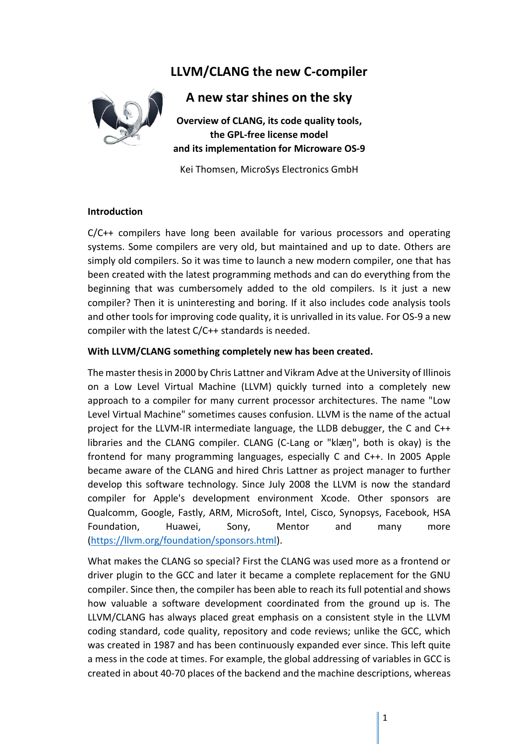# **LLVM/CLANG the new C-compiler**



## **A new star shines on the sky**

**Overview of CLANG, its code quality tools, the GPL-free license model and its implementation for Microware OS-9**

Kei Thomsen, MicroSys Electronics GmbH

## **Introduction**

C/C++ compilers have long been available for various processors and operating systems. Some compilers are very old, but maintained and up to date. Others are simply old compilers. So it was time to launch a new modern compiler, one that has been created with the latest programming methods and can do everything from the beginning that was cumbersomely added to the old compilers. Is it just a new compiler? Then it is uninteresting and boring. If it also includes code analysis tools and other tools for improving code quality, it is unrivalled in its value. For OS-9 a new compiler with the latest C/C++ standards is needed.

## **With LLVM/CLANG something completely new has been created.**

The master thesis in 2000 by Chris Lattner and Vikram Adve at the University of Illinois on a Low Level Virtual Machine (LLVM) quickly turned into a completely new approach to a compiler for many current processor architectures. The name "Low Level Virtual Machine" sometimes causes confusion. LLVM is the name of the actual project for the LLVM-IR intermediate language, the LLDB debugger, the C and C++ libraries and the CLANG compiler. CLANG (C-Lang or "klæŋ", both is okay) is the frontend for many programming languages, especially C and C++. In 2005 Apple became aware of the CLANG and hired Chris Lattner as project manager to further develop this software technology. Since July 2008 the LLVM is now the standard compiler for Apple's development environment Xcode. Other sponsors are Qualcomm, Google, Fastly, ARM, MicroSoft, Intel, Cisco, Synopsys, Facebook, HSA Foundation, Huawei, Sony, Mentor and many more [\(https://llvm.org/foundation/sponsors.html\)](https://llvm.org/foundation/sponsors.html).

What makes the CLANG so special? First the CLANG was used more as a frontend or driver plugin to the GCC and later it became a complete replacement for the GNU compiler. Since then, the compiler has been able to reach its full potential and shows how valuable a software development coordinated from the ground up is. The LLVM/CLANG has always placed great emphasis on a consistent style in the LLVM coding standard, code quality, repository and code reviews; unlike the GCC, which was created in 1987 and has been continuously expanded ever since. This left quite a mess in the code at times. For example, the global addressing of variables in GCC is created in about 40-70 places of the backend and the machine descriptions, whereas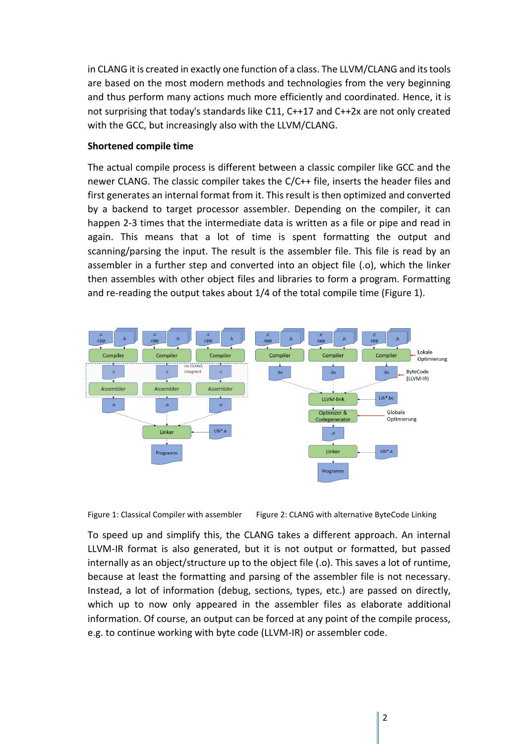in CLANG it is created in exactly one function of a class. The LLVM/CLANG and its tools are based on the most modern methods and technologies from the very beginning and thus perform many actions much more efficiently and coordinated. Hence, it is not surprising that today's standards like C11, C++17 and C++2x are not only created with the GCC, but increasingly also with the LLVM/CLANG.

## **Shortened compile time**

The actual compile process is different between a classic compiler like GCC and the newer CLANG. The classic compiler takes the C/C++ file, inserts the header files and first generates an internal format from it. This result is then optimized and converted by a backend to target processor assembler. Depending on the compiler, it can happen 2-3 times that the intermediate data is written as a file or pipe and read in again. This means that a lot of time is spent formatting the output and scanning/parsing the input. The result is the assembler file. This file is read by an assembler in a further step and converted into an object file (.o), which the linker then assembles with other object files and libraries to form a program. Formatting and re-reading the output takes about 1/4 of the total compile time (Figure 1).





To speed up and simplify this, the CLANG takes a different approach. An internal LLVM-IR format is also generated, but it is not output or formatted, but passed internally as an object/structure up to the object file (.o). This saves a lot of runtime, because at least the formatting and parsing of the assembler file is not necessary. Instead, a lot of information (debug, sections, types, etc.) are passed on directly, which up to now only appeared in the assembler files as elaborate additional information. Of course, an output can be forced at any point of the compile process, e.g. to continue working with byte code (LLVM-IR) or assembler code.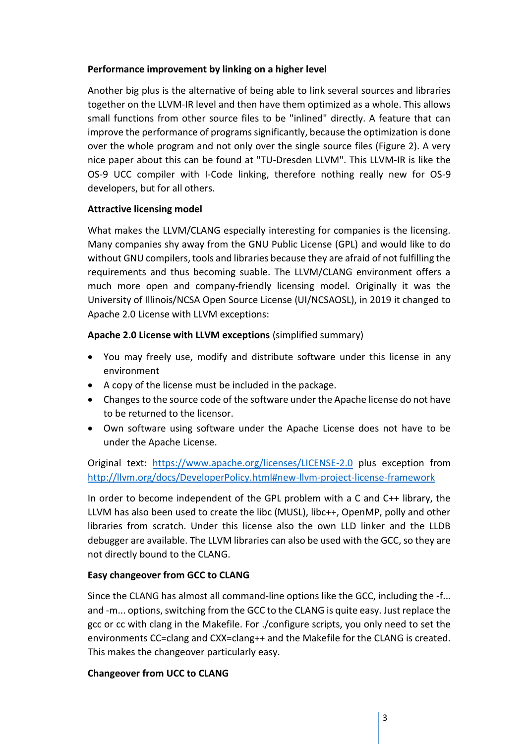## **Performance improvement by linking on a higher level**

Another big plus is the alternative of being able to link several sources and libraries together on the LLVM-IR level and then have them optimized as a whole. This allows small functions from other source files to be "inlined" directly. A feature that can improve the performance of programs significantly, because the optimization is done over the whole program and not only over the single source files (Figure 2). A very nice paper about this can be found at "TU-Dresden LLVM". This LLVM-IR is like the OS-9 UCC compiler with I-Code linking, therefore nothing really new for OS-9 developers, but for all others.

## **Attractive licensing model**

What makes the LLVM/CLANG especially interesting for companies is the licensing. Many companies shy away from the GNU Public License (GPL) and would like to do without GNU compilers, tools and libraries because they are afraid of not fulfilling the requirements and thus becoming suable. The LLVM/CLANG environment offers a much more open and company-friendly licensing model. Originally it was the University of Illinois/NCSA Open Source License (UI/NCSAOSL), in 2019 it changed to Apache 2.0 License with LLVM exceptions:

## **Apache 2.0 License with LLVM exceptions** (simplified summary)

- You may freely use, modify and distribute software under this license in any environment
- A copy of the license must be included in the package.
- Changes to the source code of the software under the Apache license do not have to be returned to the licensor.
- Own software using software under the Apache License does not have to be under the Apache License.

Original text: <https://www.apache.org/licenses/LICENSE-2.0> plus exception from <http://llvm.org/docs/DeveloperPolicy.html#new-llvm-project-license-framework>

In order to become independent of the GPL problem with a C and C++ library, the LLVM has also been used to create the libc (MUSL), libc++, OpenMP, polly and other libraries from scratch. Under this license also the own LLD linker and the LLDB debugger are available. The LLVM libraries can also be used with the GCC, so they are not directly bound to the CLANG.

## **Easy changeover from GCC to CLANG**

Since the CLANG has almost all command-line options like the GCC, including the -f... and -m... options, switching from the GCC to the CLANG is quite easy. Just replace the gcc or cc with clang in the Makefile. For ./configure scripts, you only need to set the environments CC=clang and CXX=clang++ and the Makefile for the CLANG is created. This makes the changeover particularly easy.

## **Changeover from UCC to CLANG**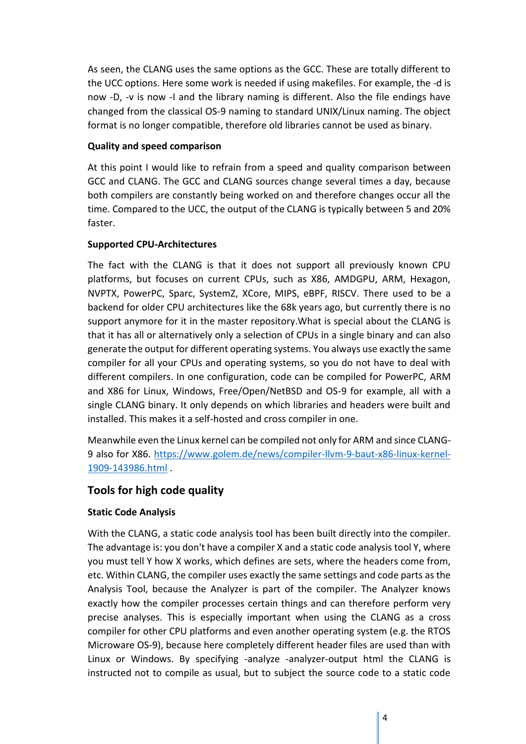As seen, the CLANG uses the same options as the GCC. These are totally different to the UCC options. Here some work is needed if using makefiles. For example, the -d is now -D, -v is now -I and the library naming is different. Also the file endings have changed from the classical OS-9 naming to standard UNIX/Linux naming. The object format is no longer compatible, therefore old libraries cannot be used as binary.

## **Quality and speed comparison**

At this point I would like to refrain from a speed and quality comparison between GCC and CLANG. The GCC and CLANG sources change several times a day, because both compilers are constantly being worked on and therefore changes occur all the time. Compared to the UCC, the output of the CLANG is typically between 5 and 20% faster.

## **Supported CPU-Architectures**

The fact with the CLANG is that it does not support all previously known CPU platforms, but focuses on current CPUs, such as X86, AMDGPU, ARM, Hexagon, NVPTX, PowerPC, Sparc, SystemZ, XCore, MIPS, eBPF, RISCV. There used to be a backend for older CPU architectures like the 68k years ago, but currently there is no support anymore for it in the master repository.What is special about the CLANG is that it has all or alternatively only a selection of CPUs in a single binary and can also generate the output for different operating systems. You always use exactly the same compiler for all your CPUs and operating systems, so you do not have to deal with different compilers. In one configuration, code can be compiled for PowerPC, ARM and X86 for Linux, Windows, Free/Open/NetBSD and OS-9 for example, all with a single CLANG binary. It only depends on which libraries and headers were built and installed. This makes it a self-hosted and cross compiler in one.

Meanwhile even the Linux kernel can be compiled not only for ARM and since CLANG-9 also for X86. [https://www.golem.de/news/compiler-llvm-9-baut-x86-linux-kernel-](https://www.golem.de/news/compiler-llvm-9-baut-x86-linux-kernel-1909-143986.html)[1909-143986.html](https://www.golem.de/news/compiler-llvm-9-baut-x86-linux-kernel-1909-143986.html) .

## **Tools for high code quality**

## **Static Code Analysis**

With the CLANG, a static code analysis tool has been built directly into the compiler. The advantage is: you don't have a compiler X and a static code analysis tool Y, where you must tell Y how X works, which defines are sets, where the headers come from, etc. Within CLANG, the compiler uses exactly the same settings and code parts as the Analysis Tool, because the Analyzer is part of the compiler. The Analyzer knows exactly how the compiler processes certain things and can therefore perform very precise analyses. This is especially important when using the CLANG as a cross compiler for other CPU platforms and even another operating system (e.g. the RTOS Microware OS-9), because here completely different header files are used than with Linux or Windows. By specifying -analyze -analyzer-output html the CLANG is instructed not to compile as usual, but to subject the source code to a static code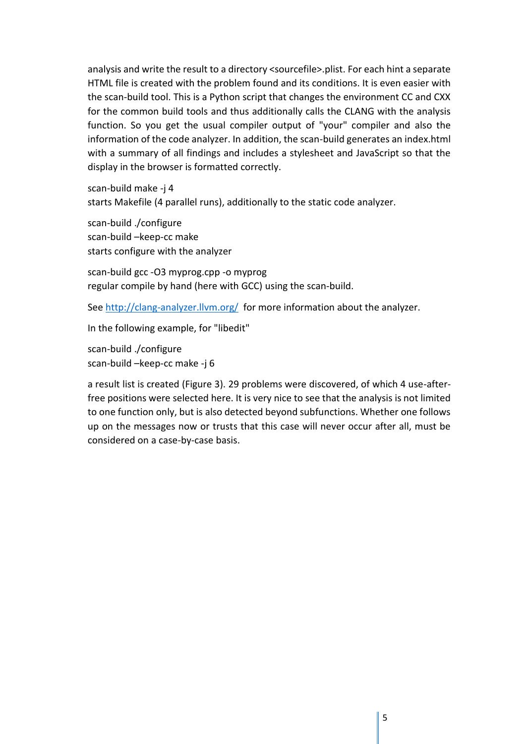analysis and write the result to a directory <sourcefile>.plist. For each hint a separate HTML file is created with the problem found and its conditions. It is even easier with the scan-build tool. This is a Python script that changes the environment CC and CXX for the common build tools and thus additionally calls the CLANG with the analysis function. So you get the usual compiler output of "your" compiler and also the information of the code analyzer. In addition, the scan-build generates an index.html with a summary of all findings and includes a stylesheet and JavaScript so that the display in the browser is formatted correctly.

scan-build make -j 4 starts Makefile (4 parallel runs), additionally to the static code analyzer.

scan-build ./configure scan-build –keep-cc make starts configure with the analyzer

scan-build gcc -O3 myprog.cpp -o myprog regular compile by hand (here with GCC) using the scan-build.

See<http://clang-analyzer.llvm.org/>for more information about the analyzer.

In the following example, for "libedit"

scan-build ./configure scan-build –keep-cc make -j 6

a result list is created (Figure 3). 29 problems were discovered, of which 4 use-afterfree positions were selected here. It is very nice to see that the analysis is not limited to one function only, but is also detected beyond subfunctions. Whether one follows up on the messages now or trusts that this case will never occur after all, must be considered on a case-by-case basis.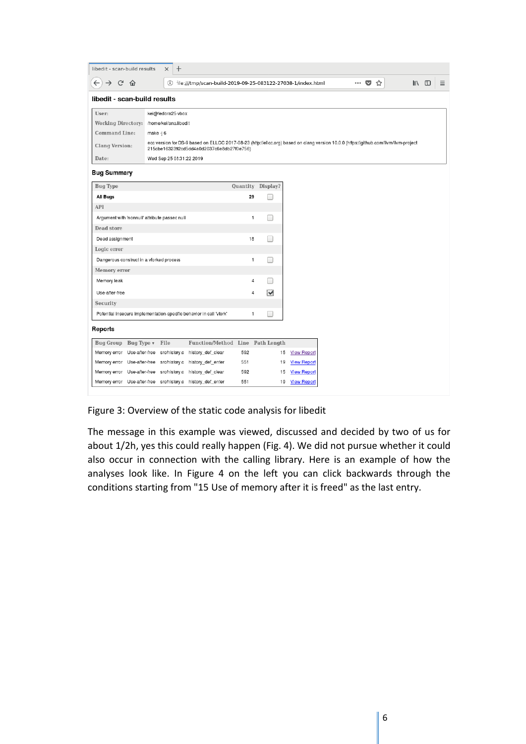| libedit - scan-build results                                        |           | $\ddot{}$<br>$\times$                                                                                                                                                              |                                                                 |     |                      |                    |  |  |       |  |                |  |   |
|---------------------------------------------------------------------|-----------|------------------------------------------------------------------------------------------------------------------------------------------------------------------------------------|-----------------------------------------------------------------|-----|----------------------|--------------------|--|--|-------|--|----------------|--|---|
| G<br>仚<br>→                                                         |           |                                                                                                                                                                                    | (i) file:///tmp/scan-build-2019-09-25-083122-27038-1/index.html |     |                      |                    |  |  | … ◎ ☆ |  | $\blacksquare$ |  | Ξ |
| libedit - scan-build results                                        |           |                                                                                                                                                                                    |                                                                 |     |                      |                    |  |  |       |  |                |  |   |
| User:                                                               |           | kei@fedora25-vbox                                                                                                                                                                  |                                                                 |     |                      |                    |  |  |       |  |                |  |   |
| Working Directory: /home/kei/ana/libedit                            |           |                                                                                                                                                                                    |                                                                 |     |                      |                    |  |  |       |  |                |  |   |
| <b>Command Line:</b>                                                | make -j 6 |                                                                                                                                                                                    |                                                                 |     |                      |                    |  |  |       |  |                |  |   |
| <b>Clang Version:</b>                                               |           | ecc version for OS-9 based on ELLCC 2017-08-23 (http://ellcc.org) based on clang version 10.0.0 (https://github.com/llvm/llvm-project<br>215cbe1632392cd5dd4a0d2037c6e8db27f0e756) |                                                                 |     |                      |                    |  |  |       |  |                |  |   |
| Date:                                                               |           | Wed Sep 25 08:31:22 2019                                                                                                                                                           |                                                                 |     |                      |                    |  |  |       |  |                |  |   |
| <b>Bug Summary</b>                                                  |           |                                                                                                                                                                                    |                                                                 |     |                      |                    |  |  |       |  |                |  |   |
| <b>Bug Type</b>                                                     |           |                                                                                                                                                                                    |                                                                 |     | Quantity Display?    |                    |  |  |       |  |                |  |   |
| All Bugs                                                            |           |                                                                                                                                                                                    |                                                                 | 29  |                      |                    |  |  |       |  |                |  |   |
| API                                                                 |           |                                                                                                                                                                                    |                                                                 |     |                      |                    |  |  |       |  |                |  |   |
| Argument with 'nonnull' attribute passed null                       |           |                                                                                                                                                                                    |                                                                 | 1   |                      |                    |  |  |       |  |                |  |   |
| Dead store                                                          |           |                                                                                                                                                                                    |                                                                 |     |                      |                    |  |  |       |  |                |  |   |
| Dead assignment                                                     |           |                                                                                                                                                                                    |                                                                 | 18  |                      |                    |  |  |       |  |                |  |   |
| Logic error                                                         |           |                                                                                                                                                                                    |                                                                 |     |                      |                    |  |  |       |  |                |  |   |
| Dangerous construct in a vforked process                            |           |                                                                                                                                                                                    |                                                                 | 1   |                      |                    |  |  |       |  |                |  |   |
| Memory error                                                        |           |                                                                                                                                                                                    |                                                                 |     |                      |                    |  |  |       |  |                |  |   |
| Memory leak                                                         |           |                                                                                                                                                                                    |                                                                 | 4   |                      |                    |  |  |       |  |                |  |   |
| Use-after-free                                                      |           |                                                                                                                                                                                    |                                                                 | 4   | $\blacktriangledown$ |                    |  |  |       |  |                |  |   |
| Security                                                            |           |                                                                                                                                                                                    |                                                                 |     |                      |                    |  |  |       |  |                |  |   |
| Potential insecure implementation-specific behavior in call 'vfork' |           |                                                                                                                                                                                    | 1                                                               |     |                      |                    |  |  |       |  |                |  |   |
| Reports                                                             |           |                                                                                                                                                                                    |                                                                 |     |                      |                    |  |  |       |  |                |  |   |
| Bug Group Bug Type v                                                | File      |                                                                                                                                                                                    | Function/Method Line Path Length                                |     |                      |                    |  |  |       |  |                |  |   |
| Memory error<br>Use-after-free                                      |           | src/history.c                                                                                                                                                                      | history_def_clear                                               | 592 | 15                   | <b>View Report</b> |  |  |       |  |                |  |   |
| Memory error Use-after-free                                         |           | src/history.c                                                                                                                                                                      | history_def_enter                                               | 551 | 19                   | <b>View Report</b> |  |  |       |  |                |  |   |
| Memory error Use-after-free                                         |           | src/history.c                                                                                                                                                                      | history_def_clear                                               | 592 | 15                   | <b>View Report</b> |  |  |       |  |                |  |   |
| Memory error Use-after-free src/history.c history_def_enter         |           |                                                                                                                                                                                    |                                                                 | 551 | 19                   | <b>View Report</b> |  |  |       |  |                |  |   |

Figure 3: Overview of the static code analysis for libedit

The message in this example was viewed, discussed and decided by two of us for about 1/2h, yes this could really happen (Fig. 4). We did not pursue whether it could also occur in connection with the calling library. Here is an example of how the analyses look like. In Figure 4 on the left you can click backwards through the conditions starting from "15 Use of memory after it is freed" as the last entry.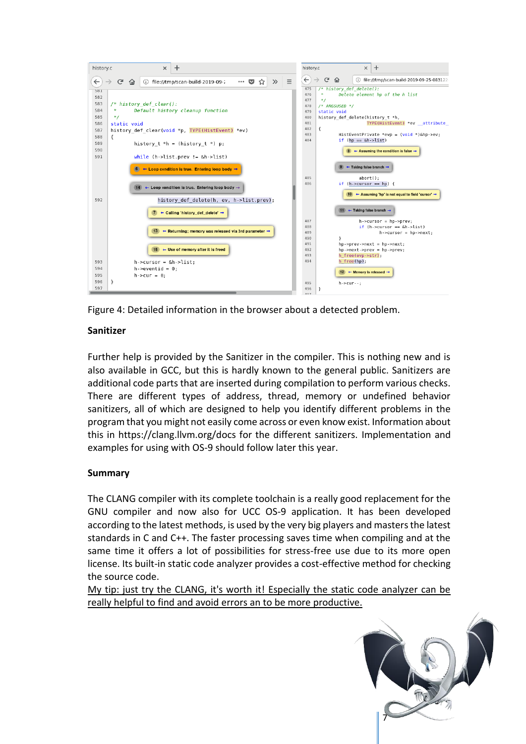



## **Sanitizer**

Further help is provided by the Sanitizer in the compiler. This is nothing new and is also available in GCC, but this is hardly known to the general public. Sanitizers are additional code parts that are inserted during compilation to perform various checks. There are different types of address, thread, memory or undefined behavior sanitizers, all of which are designed to help you identify different problems in the program that you might not easily come across or even know exist. Information about this in https://clang.llvm.org/docs for the different sanitizers. Implementation and examples for using with OS-9 should follow later this year.

## **Summary**

The CLANG compiler with its complete toolchain is a really good replacement for the GNU compiler and now also for UCC OS-9 application. It has been developed according to the latest methods, is used by the very big players and masters the latest standards in C and C++. The faster processing saves time when compiling and at the same time it offers a lot of possibilities for stress-free use due to its more open license. Its built-in static code analyzer provides a cost-effective method for checking the source code.

My tip: just try the CLANG, it's worth it! Especially the static code analyzer can be really helpful to find and avoid errors an to be more productive.